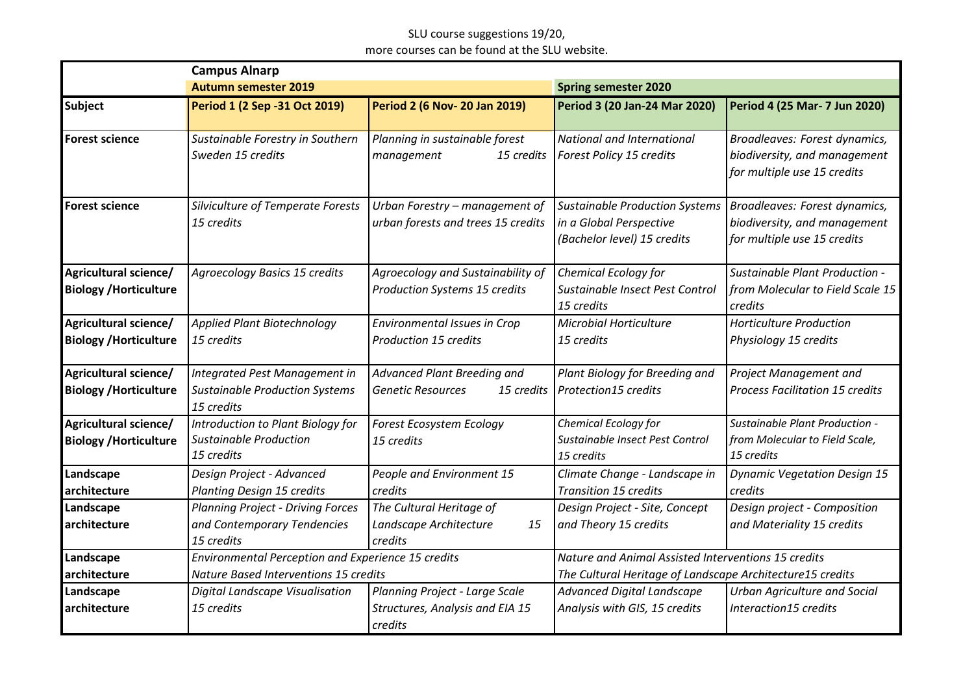## SLU course suggestions 19/20, more courses can be found at the SLU website.

| <b>Campus Alnarp</b>                                   |                                                                                                    |                                                                              |                                                                                                                  |                                                                                              |
|--------------------------------------------------------|----------------------------------------------------------------------------------------------------|------------------------------------------------------------------------------|------------------------------------------------------------------------------------------------------------------|----------------------------------------------------------------------------------------------|
|                                                        | <b>Autumn semester 2019</b>                                                                        |                                                                              | <b>Spring semester 2020</b>                                                                                      |                                                                                              |
| <b>Subject</b>                                         | Period 1 (2 Sep -31 Oct 2019)                                                                      | <b>Period 2 (6 Nov-20 Jan 2019)</b>                                          | Period 3 (20 Jan-24 Mar 2020)                                                                                    | Period 4 (25 Mar- 7 Jun 2020)                                                                |
| <b>Forest science</b>                                  | Sustainable Forestry in Southern<br>Sweden 15 credits                                              | Planning in sustainable forest<br>management<br>15 credits                   | National and International<br>Forest Policy 15 credits                                                           | Broadleaves: Forest dynamics,<br>biodiversity, and management<br>for multiple use 15 credits |
| <b>Forest science</b>                                  | Silviculture of Temperate Forests<br>15 credits                                                    | Urban Forestry - management of<br>urban forests and trees 15 credits         | <b>Sustainable Production Systems</b><br>in a Global Perspective<br>(Bachelor level) 15 credits                  | Broadleaves: Forest dynamics,<br>biodiversity, and management<br>for multiple use 15 credits |
| Agricultural science/<br><b>Biology / Horticulture</b> | <b>Agroecology Basics 15 credits</b>                                                               | Agroecology and Sustainability of<br><b>Production Systems 15 credits</b>    | Chemical Ecology for<br>Sustainable Insect Pest Control<br>15 credits                                            | Sustainable Plant Production -<br>from Molecular to Field Scale 15<br>credits                |
| Agricultural science/<br><b>Biology / Horticulture</b> | Applied Plant Biotechnology<br>15 credits                                                          | <b>Environmental Issues in Crop</b><br><b>Production 15 credits</b>          | <b>Microbial Horticulture</b><br>15 credits                                                                      | <b>Horticulture Production</b><br>Physiology 15 credits                                      |
| Agricultural science/<br><b>Biology / Horticulture</b> | Integrated Pest Management in<br><b>Sustainable Production Systems</b><br>15 credits               | Advanced Plant Breeding and<br><b>Genetic Resources</b><br>15 credits        | Plant Biology for Breeding and<br><b>Protection15 credits</b>                                                    | Project Management and<br><b>Process Facilitation 15 credits</b>                             |
| Agricultural science/<br><b>Biology / Horticulture</b> | Introduction to Plant Biology for<br>Sustainable Production<br>15 credits                          | Forest Ecosystem Ecology<br>15 credits                                       | Chemical Ecology for<br>Sustainable Insect Pest Control<br>15 credits                                            | Sustainable Plant Production -<br>from Molecular to Field Scale,<br>15 credits               |
| Landscape<br>architecture                              | Design Project - Advanced<br><b>Planting Design 15 credits</b>                                     | People and Environment 15<br>credits                                         | Climate Change - Landscape in<br><b>Transition 15 credits</b>                                                    | <b>Dynamic Vegetation Design 15</b><br>credits                                               |
| Landscape<br>architecture                              | <b>Planning Project - Driving Forces</b><br>and Contemporary Tendencies<br>15 credits              | The Cultural Heritage of<br>Landscape Architecture<br>15<br>credits          | Design Project - Site, Concept<br>and Theory 15 credits                                                          | Design project - Composition<br>and Materiality 15 credits                                   |
| Landscape<br>architecture                              | Environmental Perception and Experience 15 credits<br><b>Nature Based Interventions 15 credits</b> |                                                                              | Nature and Animal Assisted Interventions 15 credits<br>The Cultural Heritage of Landscape Architecture15 credits |                                                                                              |
| Landscape<br>architecture                              | Digital Landscape Visualisation<br>15 credits                                                      | Planning Project - Large Scale<br>Structures, Analysis and EIA 15<br>credits | Advanced Digital Landscape<br>Analysis with GIS, 15 credits                                                      | <b>Urban Agriculture and Social</b><br>Interaction15 credits                                 |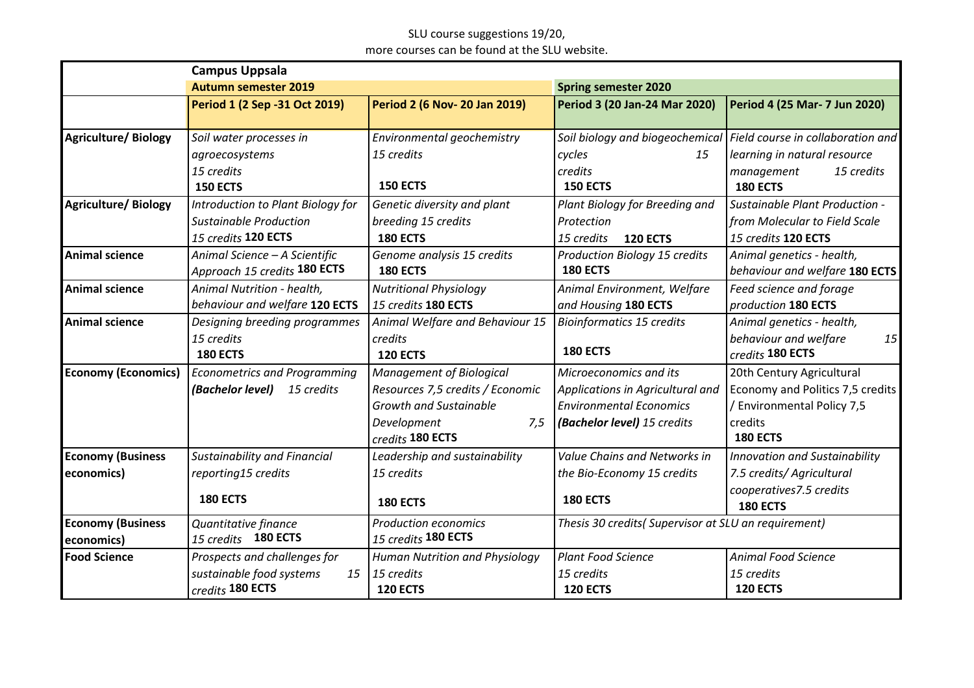## SLU course suggestions 19/20, more courses can be found at the SLU website.

| <b>Campus Uppsala</b>      |                                     |                                       |                                                      |                                                                   |
|----------------------------|-------------------------------------|---------------------------------------|------------------------------------------------------|-------------------------------------------------------------------|
|                            | <b>Autumn semester 2019</b>         |                                       | <b>Spring semester 2020</b>                          |                                                                   |
|                            | Period 1 (2 Sep -31 Oct 2019)       | <b>Period 2 (6 Nov-20 Jan 2019)</b>   | Period 3 (20 Jan-24 Mar 2020)                        | Period 4 (25 Mar- 7 Jun 2020)                                     |
|                            |                                     |                                       |                                                      |                                                                   |
| <b>Agriculture/Biology</b> | Soil water processes in             | Environmental geochemistry            |                                                      | Soil biology and biogeochemical Field course in collaboration and |
|                            | agroecosystems                      | 15 credits                            | cycles<br>15                                         | learning in natural resource                                      |
|                            | 15 credits                          |                                       | credits                                              | 15 credits<br>management                                          |
|                            | <b>150 ECTS</b>                     | <b>150 ECTS</b>                       | <b>150 ECTS</b>                                      | <b>180 ECTS</b>                                                   |
| <b>Agriculture/Biology</b> | Introduction to Plant Biology for   | Genetic diversity and plant           | Plant Biology for Breeding and                       | Sustainable Plant Production -                                    |
|                            | <b>Sustainable Production</b>       | breeding 15 credits                   | Protection                                           | from Molecular to Field Scale                                     |
|                            | 15 credits 120 ECTS                 | <b>180 ECTS</b>                       | 15 credits<br><b>120 ECTS</b>                        | 15 credits 120 ECTS                                               |
| <b>Animal science</b>      | Animal Science - A Scientific       | Genome analysis 15 credits            | <b>Production Biology 15 credits</b>                 | Animal genetics - health,                                         |
|                            | Approach 15 credits 180 ECTS        | <b>180 ECTS</b>                       | <b>180 ECTS</b>                                      | behaviour and welfare 180 ECTS                                    |
| <b>Animal science</b>      | Animal Nutrition - health,          | <b>Nutritional Physiology</b>         | Animal Environment, Welfare                          | Feed science and forage                                           |
|                            | behaviour and welfare 120 ECTS      | 15 credits 180 ECTS                   | and Housing 180 ECTS                                 | production 180 ECTS                                               |
| <b>Animal science</b>      | Designing breeding programmes       | Animal Welfare and Behaviour 15       | <b>Bioinformatics 15 credits</b>                     | Animal genetics - health,                                         |
|                            | 15 credits                          | credits                               |                                                      | behaviour and welfare<br>15                                       |
|                            | <b>180 ECTS</b>                     | <b>120 ECTS</b>                       | <b>180 ECTS</b>                                      | credits 180 ECTS                                                  |
| <b>Economy (Economics)</b> | <b>Econometrics and Programming</b> | <b>Management of Biological</b>       | Microeconomics and its                               | 20th Century Agricultural                                         |
|                            | (Bachelor level)<br>15 credits      | Resources 7,5 credits / Economic      | Applications in Agricultural and                     | Economy and Politics 7,5 credits                                  |
|                            |                                     | <b>Growth and Sustainable</b>         | <b>Environmental Economics</b>                       | Environmental Policy 7,5                                          |
|                            |                                     | Development<br>7,5                    | (Bachelor level) 15 credits                          | credits                                                           |
|                            |                                     | credits 180 ECTS                      |                                                      | <b>180 ECTS</b>                                                   |
| <b>Economy (Business</b>   | <b>Sustainability and Financial</b> | Leadership and sustainability         | Value Chains and Networks in                         | <b>Innovation and Sustainability</b>                              |
| economics)                 | reporting15 credits                 | 15 credits                            | the Bio-Economy 15 credits                           | 7.5 credits/ Agricultural                                         |
|                            |                                     |                                       |                                                      | cooperatives7.5 credits                                           |
|                            | <b>180 ECTS</b>                     | <b>180 ECTS</b>                       | <b>180 ECTS</b>                                      | <b>180 ECTS</b>                                                   |
| <b>Economy (Business</b>   | Quantitative finance                | <b>Production economics</b>           | Thesis 30 credits( Supervisor at SLU an requirement) |                                                                   |
| economics)                 | 15 credits 180 ECTS                 | 15 credits 180 ECTS                   |                                                      |                                                                   |
| <b>Food Science</b>        | Prospects and challenges for        | <b>Human Nutrition and Physiology</b> | <b>Plant Food Science</b>                            | <b>Animal Food Science</b>                                        |
|                            | sustainable food systems<br>15      | 15 credits                            | 15 credits                                           | 15 credits                                                        |
|                            | credits 180 ECTS                    | <b>120 ECTS</b>                       | <b>120 ECTS</b>                                      | <b>120 ECTS</b>                                                   |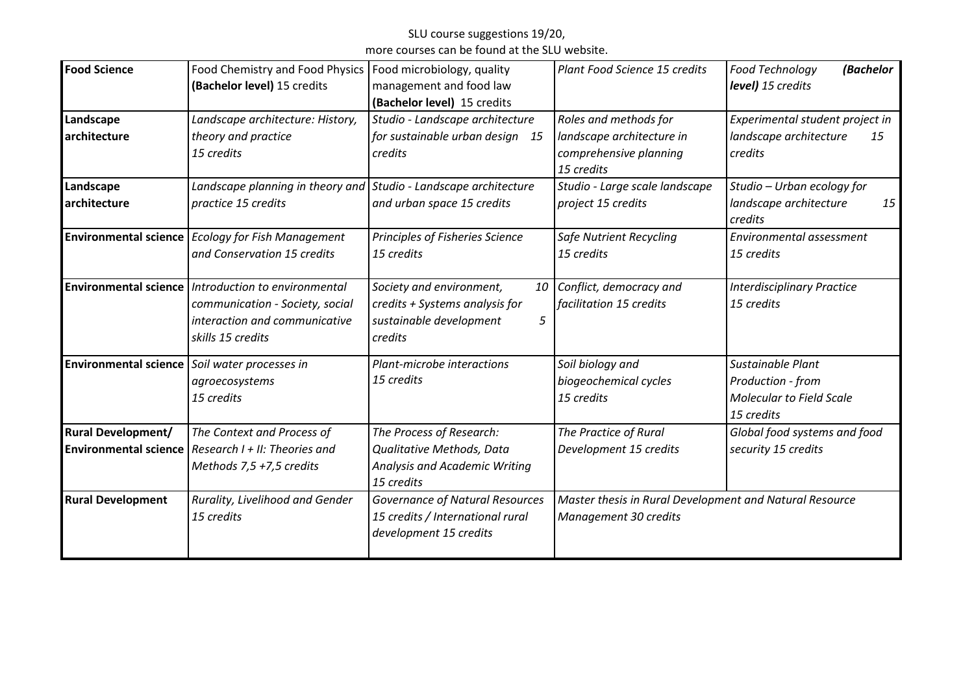# SLU course suggestions 19/20,

more courses can be found at the SLU website.

| <b>Food Science</b>                                       | Food Chemistry and Food Physics<br>(Bachelor level) 15 credits                                                         | Food microbiology, quality<br>management and food law<br>(Bachelor level) 15 credits                  | Plant Food Science 15 credits                                                              | <b>Food Technology</b><br>(Bachelor<br>level) 15 credits                                |
|-----------------------------------------------------------|------------------------------------------------------------------------------------------------------------------------|-------------------------------------------------------------------------------------------------------|--------------------------------------------------------------------------------------------|-----------------------------------------------------------------------------------------|
| Landscape<br>architecture                                 | Landscape architecture: History,<br>theory and practice<br>15 credits                                                  | Studio - Landscape architecture<br>for sustainable urban design 15<br>credits                         | Roles and methods for<br>landscape architecture in<br>comprehensive planning<br>15 credits | Experimental student project in<br>landscape architecture<br>15<br>credits              |
| Landscape<br>architecture                                 | Landscape planning in theory and Studio - Landscape architecture<br>practice 15 credits                                | and urban space 15 credits                                                                            | Studio - Large scale landscape<br>project 15 credits                                       | Studio - Urban ecology for<br>landscape architecture<br>15<br>credits                   |
|                                                           | <b>Environmental science</b> Ecology for Fish Management<br>and Conservation 15 credits                                | Principles of Fisheries Science<br>15 credits                                                         | <b>Safe Nutrient Recycling</b><br>15 credits                                               | Environmental assessment<br>15 credits                                                  |
| <b>Environmental science</b>                              | Introduction to environmental<br>communication - Society, social<br>interaction and communicative<br>skills 15 credits | Society and environment,<br>credits + Systems analysis for<br>sustainable development<br>5<br>credits | 10 Conflict, democracy and<br>facilitation 15 credits                                      | <b>Interdisciplinary Practice</b><br>15 credits                                         |
|                                                           | Environmental science   Soil water processes in<br>agroecosystems<br>15 credits                                        | Plant-microbe interactions<br>15 credits                                                              | Soil biology and<br>biogeochemical cycles<br>15 credits                                    | Sustainable Plant<br>Production - from<br><b>Molecular to Field Scale</b><br>15 credits |
| <b>Rural Development/</b><br><b>Environmental science</b> | The Context and Process of<br>Research $I + II$ : Theories and<br>Methods 7,5 +7,5 credits                             | The Process of Research:<br>Qualitative Methods, Data<br>Analysis and Academic Writing<br>15 credits  | The Practice of Rural<br>Development 15 credits                                            | Global food systems and food<br>security 15 credits                                     |
| <b>Rural Development</b>                                  | Rurality, Livelihood and Gender<br>15 credits                                                                          | <b>Governance of Natural Resources</b><br>15 credits / International rural<br>development 15 credits  | Master thesis in Rural Development and Natural Resource<br>Management 30 credits           |                                                                                         |